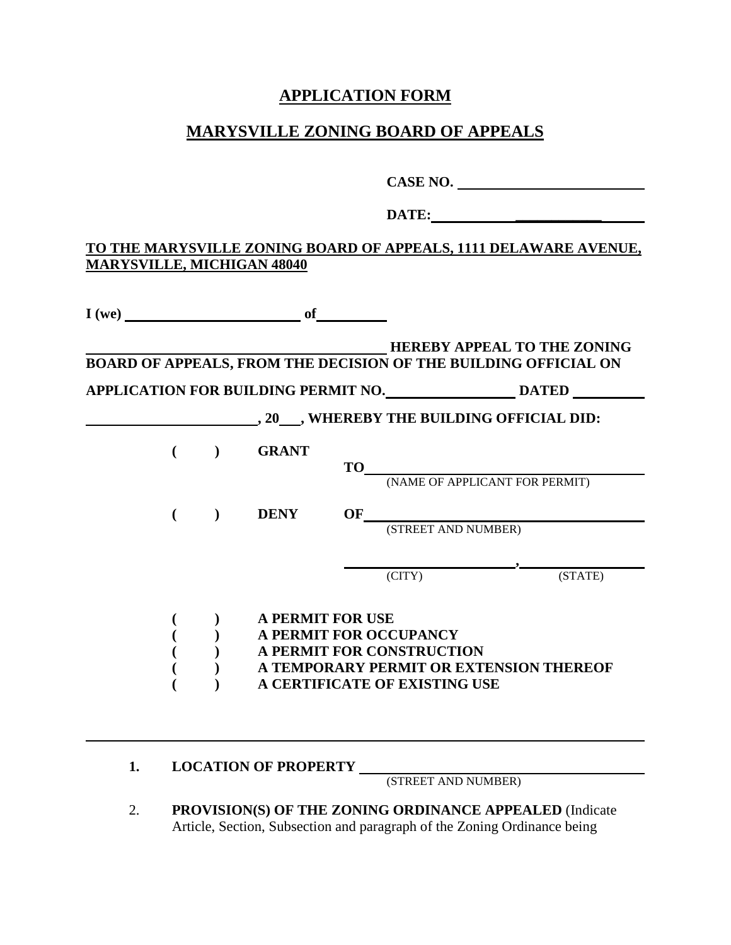## **APPLICATION FORM**

# **MARYSVILLE ZONING BOARD OF APPEALS**

|    |                                                                                |  |                                   |  |                                                     | CASE NO.                                                                  |  |  |
|----|--------------------------------------------------------------------------------|--|-----------------------------------|--|-----------------------------------------------------|---------------------------------------------------------------------------|--|--|
|    |                                                                                |  |                                   |  |                                                     | DATE:                                                                     |  |  |
|    |                                                                                |  | <b>MARYSVILLE, MICHIGAN 48040</b> |  |                                                     | <u>TO THE MARYSVILLE ZONING BOARD OF APPEALS, 1111 DELAWARE AVENUE,</u>   |  |  |
|    |                                                                                |  | $I(we)$ of                        |  |                                                     |                                                                           |  |  |
|    | <b>EXECUTE BOARD OF APPEALS, FROM THE DECISION OF THE BUILDING OFFICIAL ON</b> |  |                                   |  |                                                     |                                                                           |  |  |
|    |                                                                                |  |                                   |  |                                                     | APPLICATION FOR BUILDING PERMIT NO. ______________________ DATED ________ |  |  |
|    |                                                                                |  |                                   |  |                                                     | , 20 ___, WHEREBY THE BUILDING OFFICIAL DID:                              |  |  |
|    | $\left($                                                                       |  | ) GRANT                           |  |                                                     |                                                                           |  |  |
|    |                                                                                |  | DENY                              |  |                                                     |                                                                           |  |  |
|    |                                                                                |  |                                   |  |                                                     | OF (STREET AND NUMBER)                                                    |  |  |
|    |                                                                                |  |                                   |  | $\overline{C}$ (CITY)                               | $\overline{\phantom{1}}$ , $\overline{\phantom{1}}$ (STATE)               |  |  |
|    |                                                                                |  | <b>A PERMIT FOR USE</b>           |  |                                                     |                                                                           |  |  |
|    |                                                                                |  |                                   |  | A PERMIT FOR OCCUPANCY<br>A PERMIT FOR CONSTRUCTION |                                                                           |  |  |
|    |                                                                                |  |                                   |  |                                                     | A TEMPORARY PERMIT OR EXTENSION THEREOF                                   |  |  |
|    |                                                                                |  |                                   |  | A CERTIFICATE OF EXISTING USE                       |                                                                           |  |  |
| 1. |                                                                                |  | <b>LOCATION OF PROPERTY</b>       |  |                                                     |                                                                           |  |  |
|    |                                                                                |  |                                   |  | (STREET AND NUMBER)                                 |                                                                           |  |  |
|    |                                                                                |  |                                   |  |                                                     | <b>DDOVISION(S) OF THE ZONING ODDINANCE ADDEAI ED (Indicate</b>           |  |  |

2. **PROVISION(S) OF THE ZONING ORDINANCE APPEALED** (Indicate Article, Section, Subsection and paragraph of the Zoning Ordinance being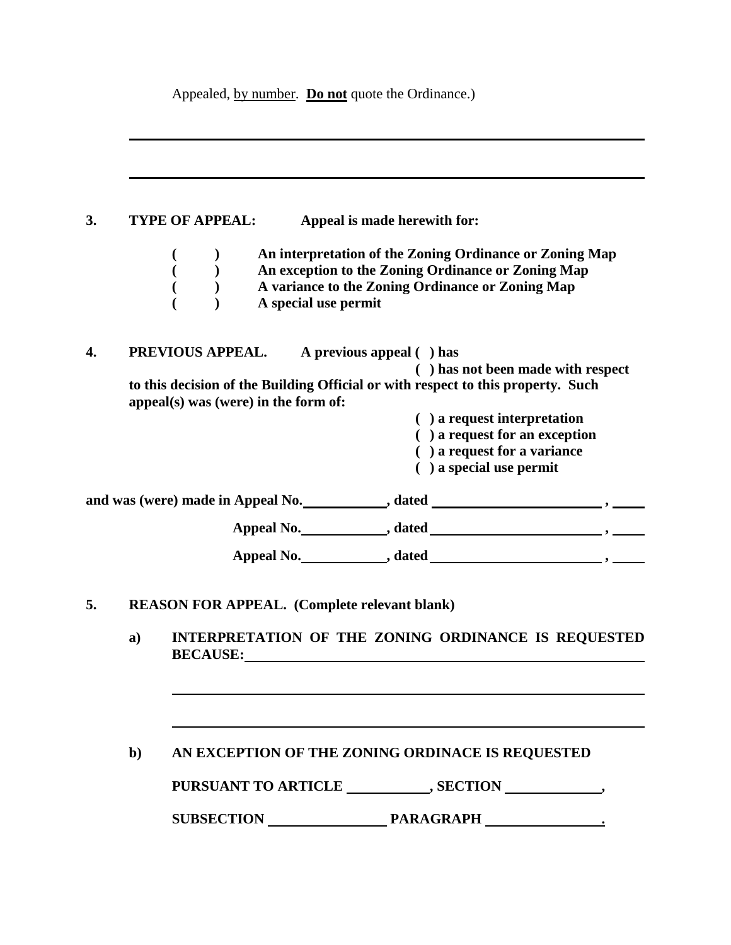Appealed, by number. **Do not** quote the Ordinance.)

### **3. TYPE OF APPEAL: Appeal is made herewith for:**

**( ) An interpretation of the Zoning Ordinance or Zoning Map ( ) An exception to the Zoning Ordinance or Zoning Map ( ) A variance to the Zoning Ordinance or Zoning Map ( ) A special use permit**

**4. PREVIOUS APPEAL. A previous appeal ( ) has ( ) has not been made with respect to this decision of the Building Official or with respect to this property. Such appeal(s) was (were) in the form of: ( ) a request interpretation**

- **( ) a request for an exception**
	- **( ) a request for a variance**
	- **( ) a special use permit**

| and was (were) made in Appeal No.<br>dated |  |
|--------------------------------------------|--|
| Appeal No.<br>dated                        |  |
| Appeal No.<br>dated                        |  |

**5. REASON FOR APPEAL. (Complete relevant blank)**

**a) INTERPRETATION OF THE ZONING ORDINANCE IS REQUESTED BECAUSE:**

#### **b) AN EXCEPTION OF THE ZONING ORDINACE IS REQUESTED**

PURSUANT TO ARTICLE \_\_\_\_\_\_\_\_\_\_, SECTION \_\_\_\_\_\_\_\_\_\_\_,

**SUBSECTION PARAGRAPH .**